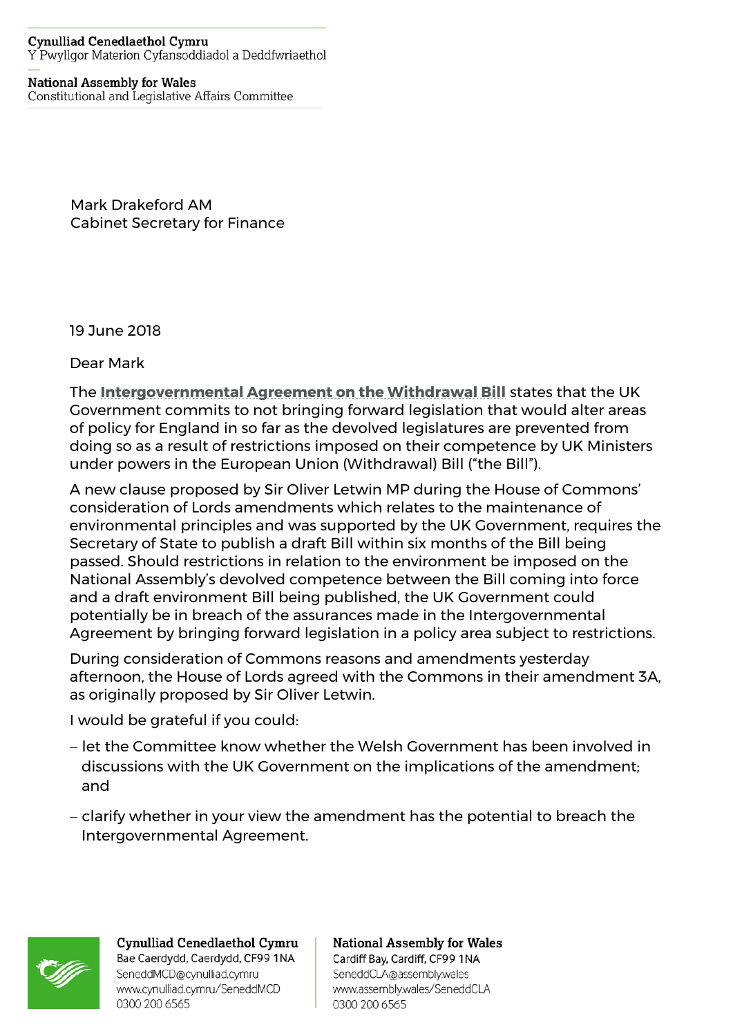## **Cynulliad Cenedlaethol Cymru** Y Pwyllgor Materion Cyfansoddiadol a Deddfwriaethol

## **National Assembly for Wales**

Constitutional and Legislative Affairs Committee

Mark Drakeford AM Cabinet Secretary for Finance

19 June 2018

Dear Mark

The **[Intergovernmental Agreement on the Withdrawal Bill](https://assets.publishing.service.gov.uk/government/uploads/system/uploads/attachment_data/file/702623/2018-04-24_UKG-DA_IGA_and_Memorandum.pdf)** states that the UK Government commits to not bringing forward legislation that would alter areas of policy for England in so far as the devolved legislatures are prevented from doing so as a result of restrictions imposed on their competence by UK Ministers under powers in the European Union (Withdrawal) Bill ("the Bill").

A new clause proposed by Sir Oliver Letwin MP during the House of Commons' consideration of Lords amendments which relates to the maintenance of environmental principles and was supported by the UK Government, requires the Secretary of State to publish a draft Bill within six months of the Bill being passed. Should restrictions in relation to the environment be imposed on the National Assembly's devolved competence between the Bill coming into force and a draft environment Bill being published, the UK Government could potentially be in breach of the assurances made in the Intergovernmental Agreement by bringing forward legislation in a policy area subject to restrictions.

During consideration of Commons reasons and amendments yesterday afternoon, the House of Lords agreed with the Commons in their amendment 3A, as originally proposed by Sir Oliver Letwin.

I would be grateful if you could:

- let the Committee know whether the Welsh Government has been involved in discussions with the UK Government on the implications of the amendment; and
- clarify whether in your view the amendment has the potential to breach the Intergovernmental Agreement.



Cynulliad Cenedlaethol Cymru Bae Caerdydd, Caerdydd, CF99 1NA SeneddMCD@cynulliad.cymru www.cynulliad.cymru/SeneddMCD 0300 200 6565

**National Assembly for Wales** Cardiff Bay, Cardiff, CF99 1NA SeneddCLA@assembly.wales www.assembly.wales/SeneddCLA 0300 200 6565